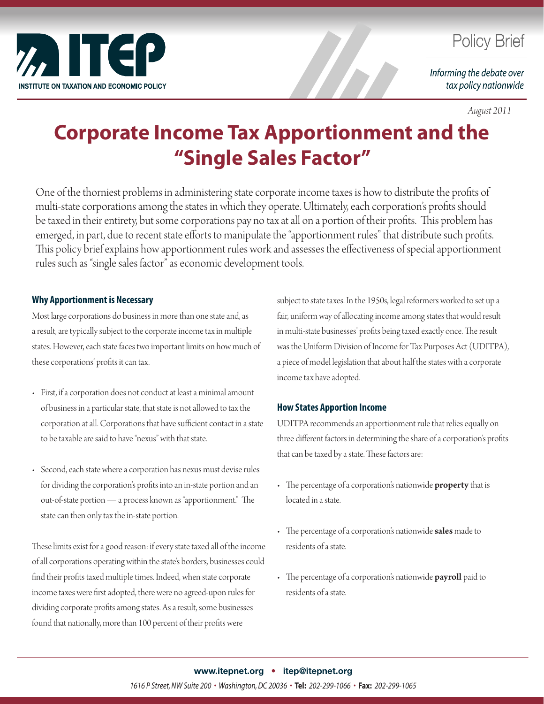

### **Policy Brief**

Informing the debate over tax policy nationwide

*August 2011*

# **Corporate Income Tax Apportionment and the "Single Sales Factor"**

One of the thorniest problems in administering state corporate income taxes is how to distribute the profits of multi-state corporations among the states in which they operate. Ultimately, each corporation's profits should be taxed in their entirety, but some corporations pay no tax at all on a portion of their profits. This problem has emerged, in part, due to recent state efforts to manipulate the "apportionment rules" that distribute such profits. This policy brief explains how apportionment rules work and assesses the effectiveness of special apportionment rules such as "single sales factor" as economic development tools.

#### **Why Apportionment is Necessary**

Most large corporations do business in more than one state and, as a result, are typically subject to the corporate income tax in multiple states. However, each state faces two important limits on how much of these corporations' profits it can tax.

- First, if a corporation does not conduct at least a minimal amount of business in a particular state, that state is not allowed to tax the corporation at all. Corporations that have sufficient contact in a state to be taxable are said to have "nexus" with that state.
- Second, each state where a corporation has nexus must devise rules for dividing the corporation's profits into an in-state portion and an out-of-state portion — a process known as "apportionment." The state can then only tax the in-state portion.

These limits exist for a good reason: if every state taxed all of the income of all corporations operating within the state's borders, businesses could find their profits taxed multiple times. Indeed, when state corporate income taxes were first adopted, there were no agreed-upon rules for dividing corporate profits among states. As a result, some businesses found that nationally, more than 100 percent of their profits were

subject to state taxes. In the 1950s, legal reformers worked to set up a fair, uniform way of allocating income among states that would result in multi-state businesses' profits being taxed exactly once. The result was the Uniform Division of Income for Tax Purposes Act (UDITPA), a piece of model legislation that about half the states with a corporate income tax have adopted.

#### **How States Apportion Income**

UDITPA recommends an apportionment rule that relies equally on three different factors in determining the share of a corporation's profits that can be taxed by a state. These factors are:

- The percentage of a corporation's nationwide **property** that is located in a state.
- The percentage of a corporation's nationwide **sales** made to residents of a state.
- The percentage of a corporation's nationwide **payroll** paid to residents of a state.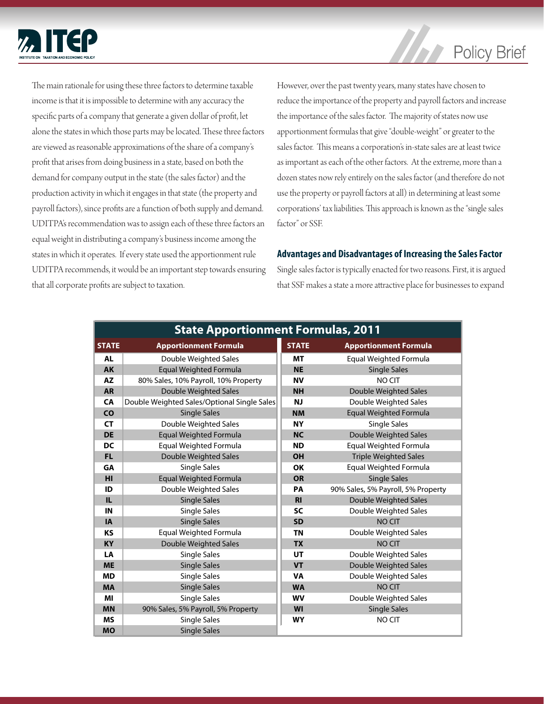

## **Policy Brief**

The main rationale for using these three factors to determine taxable income is that it is impossible to determine with any accuracy the specific parts of a company that generate a given dollar of profit, let alone the states in which those parts may be located. These three factors are viewed as reasonable approximations of the share of a company's profit that arises from doing business in a state, based on both the demand for company output in the state (the sales factor) and the production activity in which it engages in that state (the property and payroll factors), since profits are a function of both supply and demand. UDITPA's recommendation was to assign each of these three factors an equal weight in distributing a company's business income among the states in which it operates. If every state used the apportionment rule UDITPA recommends, it would be an important step towards ensuring that all corporate profits are subject to taxation.

However, over the past twenty years, many states have chosen to reduce the importance of the property and payroll factors and increase the importance of the sales factor. The majority of states now use apportionment formulas that give "double-weight" or greater to the sales factor. This means a corporation's in-state sales are at least twice as important as each of the other factors. At the extreme, more than a dozen states now rely entirely on the sales factor (and therefore do not use the property or payroll factors at all) in determining at least some corporations' tax liabilities. This approach is known as the "single sales factor" or SSF.

#### **Advantages and Disadvantages of Increasing the Sales Factor**

Single sales factor is typically enacted for two reasons. First, it is argued that SSF makes a state a more attractive place for businesses to expand

| <b>State Apportionment Formulas, 2011</b> |                                             |                |                                    |
|-------------------------------------------|---------------------------------------------|----------------|------------------------------------|
| <b>STATE</b>                              | <b>Apportionment Formula</b>                | <b>STATE</b>   | <b>Apportionment Formula</b>       |
| <b>AL</b>                                 | Double Weighted Sales                       | <b>MT</b>      | Equal Weighted Formula             |
| <b>AK</b>                                 | <b>Equal Weighted Formula</b>               | <b>NE</b>      | <b>Single Sales</b>                |
| <b>AZ</b>                                 | 80% Sales, 10% Payroll, 10% Property        | <b>NV</b>      | <b>NO CIT</b>                      |
| <b>AR</b>                                 | Double Weighted Sales                       | <b>NH</b>      | Double Weighted Sales              |
| <b>CA</b>                                 | Double Weighted Sales/Optional Single Sales | <b>NJ</b>      | Double Weighted Sales              |
| <b>CO</b>                                 | <b>Single Sales</b>                         | <b>NM</b>      | <b>Equal Weighted Formula</b>      |
| <b>CT</b>                                 | Double Weighted Sales                       | <b>NY</b>      | <b>Single Sales</b>                |
| <b>DE</b>                                 | <b>Equal Weighted Formula</b>               | <b>NC</b>      | <b>Double Weighted Sales</b>       |
| <b>DC</b>                                 | Equal Weighted Formula                      | <b>ND</b>      | <b>Equal Weighted Formula</b>      |
| <b>FL</b>                                 | Double Weighted Sales                       | <b>OH</b>      | <b>Triple Weighted Sales</b>       |
| GA                                        | <b>Single Sales</b>                         | <b>OK</b>      | <b>Equal Weighted Formula</b>      |
| HI                                        | <b>Equal Weighted Formula</b>               | <b>OR</b>      | <b>Single Sales</b>                |
| ID                                        | Double Weighted Sales                       | <b>PA</b>      | 90% Sales, 5% Payroll, 5% Property |
| IL.                                       | <b>Single Sales</b>                         | R <sub>l</sub> | <b>Double Weighted Sales</b>       |
| IN                                        | <b>Single Sales</b>                         | <b>SC</b>      | Double Weighted Sales              |
| <b>IA</b>                                 | <b>Single Sales</b>                         | <b>SD</b>      | <b>NO CIT</b>                      |
| <b>KS</b>                                 | Equal Weighted Formula                      | <b>TN</b>      | Double Weighted Sales              |
| <b>KY</b>                                 | Double Weighted Sales                       | <b>TX</b>      | NO CIT                             |
| LA                                        | Single Sales                                | UT             | Double Weighted Sales              |
| <b>ME</b>                                 | <b>Single Sales</b>                         | <b>VT</b>      | Double Weighted Sales              |
| <b>MD</b>                                 | Single Sales                                | <b>VA</b>      | Double Weighted Sales              |
| <b>MA</b>                                 | <b>Single Sales</b>                         | <b>WA</b>      | NO CIT                             |
| MI                                        | Single Sales                                | <b>WV</b>      | Double Weighted Sales              |
| <b>MN</b>                                 | 90% Sales, 5% Payroll, 5% Property          | WI             | <b>Single Sales</b>                |
| <b>MS</b>                                 | <b>Single Sales</b>                         | <b>WY</b>      | NO CIT                             |
| <b>MO</b>                                 | <b>Single Sales</b>                         |                |                                    |